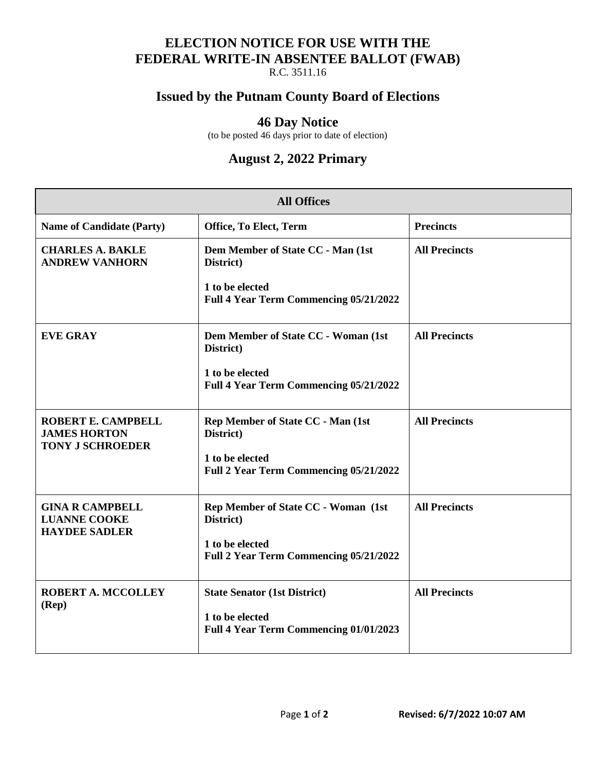# **ELECTION NOTICE FOR USE WITH THE FEDERAL WRITE-IN ABSENTEE BALLOT (FWAB)**

R.C. 3511.16

### **Issued by the Putnam County Board of Elections**

#### **46 Day Notice**

(to be posted 46 days prior to date of election)

## **August 2, 2022 Primary**

| <b>All Offices</b>                                                    |                                                           |                      |  |  |
|-----------------------------------------------------------------------|-----------------------------------------------------------|----------------------|--|--|
| <b>Name of Candidate (Party)</b>                                      | Office, To Elect, Term                                    | <b>Precincts</b>     |  |  |
| <b>CHARLES A. BAKLE</b><br><b>ANDREW VANHORN</b>                      | Dem Member of State CC - Man (1st<br>District)            | <b>All Precincts</b> |  |  |
|                                                                       | 1 to be elected<br>Full 4 Year Term Commencing 05/21/2022 |                      |  |  |
| <b>EVE GRAY</b>                                                       | Dem Member of State CC - Woman (1st<br>District)          | <b>All Precincts</b> |  |  |
|                                                                       | 1 to be elected<br>Full 4 Year Term Commencing 05/21/2022 |                      |  |  |
| ROBERT E. CAMPBELL<br><b>JAMES HORTON</b><br><b>TONY J SCHROEDER</b>  | Rep Member of State CC - Man (1st<br>District)            | <b>All Precincts</b> |  |  |
|                                                                       | 1 to be elected<br>Full 2 Year Term Commencing 05/21/2022 |                      |  |  |
| <b>GINA R CAMPBELL</b><br><b>LUANNE COOKE</b><br><b>HAYDEE SADLER</b> | Rep Member of State CC - Woman (1st<br>District)          | <b>All Precincts</b> |  |  |
|                                                                       | 1 to be elected<br>Full 2 Year Term Commencing 05/21/2022 |                      |  |  |
| <b>ROBERT A. MCCOLLEY</b><br>$(\mathbf{Rep})$                         | <b>State Senator (1st District)</b><br>1 to be elected    | <b>All Precincts</b> |  |  |
|                                                                       | Full 4 Year Term Commencing 01/01/2023                    |                      |  |  |